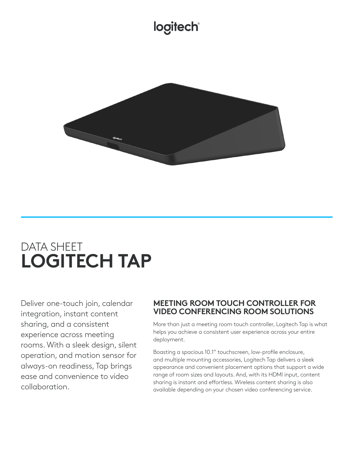# logitech®



# DATA SHEET **LOGITECH TAP**

Deliver one-touch join, calendar integration, instant content sharing, and a consistent experience across meeting rooms. With a sleek design, silent operation, and motion sensor for always-on readiness, Tap brings ease and convenience to video collaboration.

### **MEETING ROOM TOUCH CONTROLLER FOR VIDEO CONFERENCING ROOM SOLUTIONS**

More than just a meeting room touch controller, Logitech Tap is what helps you achieve a consistent user experience across your entire deployment.

Boasting a spacious 10.1" touchscreen, low-profile enclosure, and multiple mounting accessories, Logitech Tap delivers a sleek appearance and convenient placement options that support a wide range of room sizes and layouts. And, with its HDMI input, content sharing is instant and effortless. Wireless content sharing is also available depending on your chosen video conferencing service.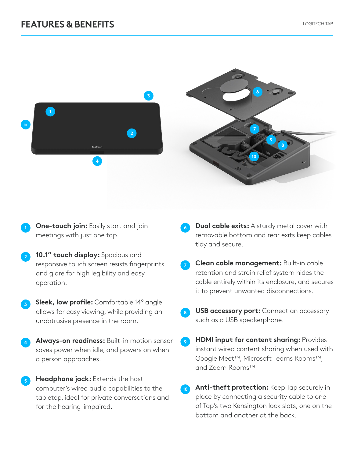## **FEATURES & BENEFITS** LOGITECH TAP



- **One-touch join:** Easily start and join meetings with just one tap.
- **<sup>2</sup> 10.1" touch display:** Spacious and responsive touch screen resists fingerprints and glare for high legibility and easy operation.
- **<sup>3</sup> Sleek, low profile:** Comfortable 14° angle allows for easy viewing, while providing an unobtrusive presence in the room.
- **<sup>4</sup> Always-on readiness:** Built-in motion sensor saves power when idle, and powers on when a person approaches.
- **Headphone jack:** Extends the host computer's wired audio capabilities to the tabletop, ideal for private conversations and for the hearing-impaired.
- **Dual cable exits:** A sturdy metal cover with removable bottom and rear exits keep cables tidy and secure.
- **<sup>7</sup> Clean cable management:** Built-in cable retention and strain relief system hides the cable entirely within its enclosure, and secures it to prevent unwanted disconnections.
- **USB accessory port:** Connect an accessory such as a USB speakerphone.
- **9 HDMI input for content sharing: Provides** instant wired content sharing when used with Google Meet™, Microsoft Teams Rooms™, and Zoom Rooms™.
- **10 Anti-theft protection:** Keep Tap securely in place by connecting a security cable to one of Tap's two Kensington lock slots, one on the bottom and another at the back.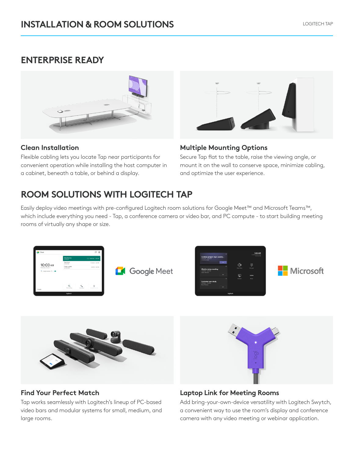# **ENTERPRISE READY**



#### **Clean Installation**

Flexible cabling lets you locate Tap near participants for convenient operation while installing the host computer in a cabinet, beneath a table, or behind a display.



### **Multiple Mounting Options**

Secure Tap flat to the table, raise the viewing angle, or mount it on the wall to conserve space, minimize cabling, and optimize the user experience.

# **ROOM SOLUTIONS WITH LOGITECH TAP**

Easily deploy video meetings with pre-configured Logitech room solutions for Google Meet™ and Microsoft Teams™, which include everything you need - Tap, a conference camera or video bar, and PC compute - to start building meeting rooms of virtually any shape or size.





### **Find Your Perfect Match**

Tap works seamlessly with Logitech's lineup of PC-based video bars and modular systems for small, medium, and large rooms.



### **Laptop Link for Meeting Rooms**

Add bring-your-own-device versatility with Logitech Swytch, a convenient way to use the room's display and conference camera with any video meeting or webinar application.